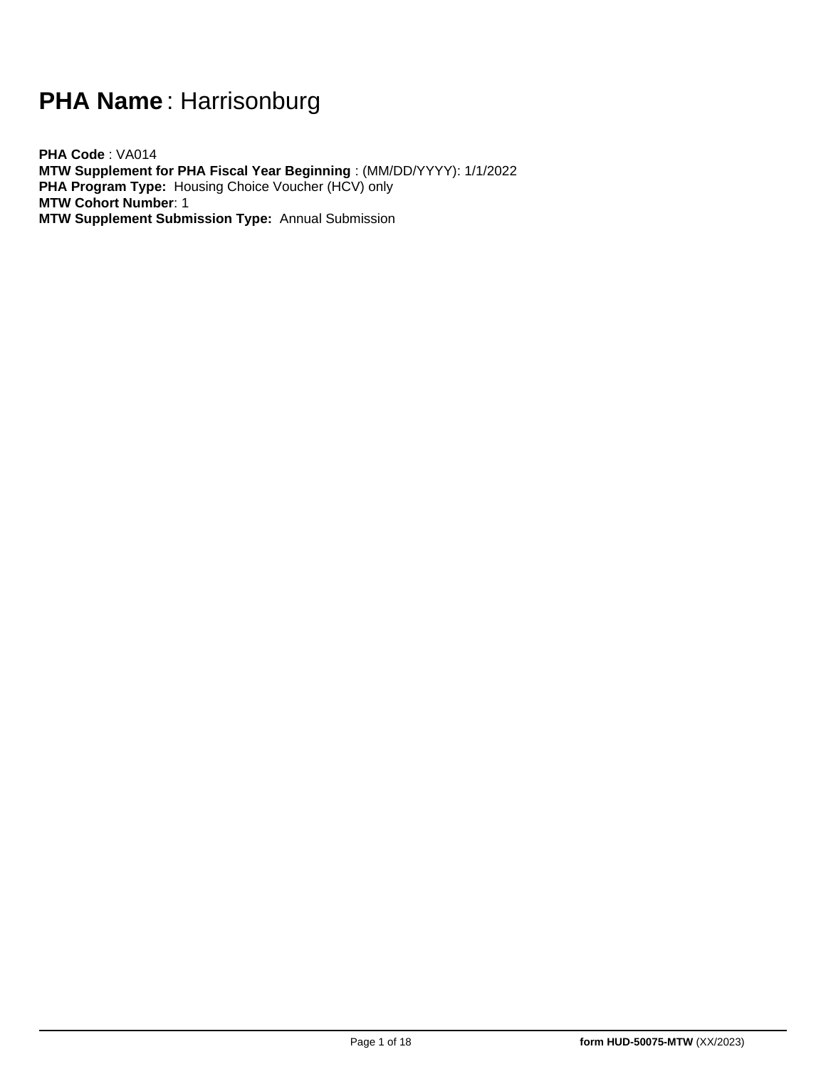# **PHA Name** : Harrisonburg

**PHA Code** : VA014 **MTW Supplement for PHA Fiscal Year Beginning** : (MM/DD/YYYY): 1/1/2022 **PHA Program Type:** Housing Choice Voucher (HCV) only **MTW Cohort Number**: 1 **MTW Supplement Submission Type:** Annual Submission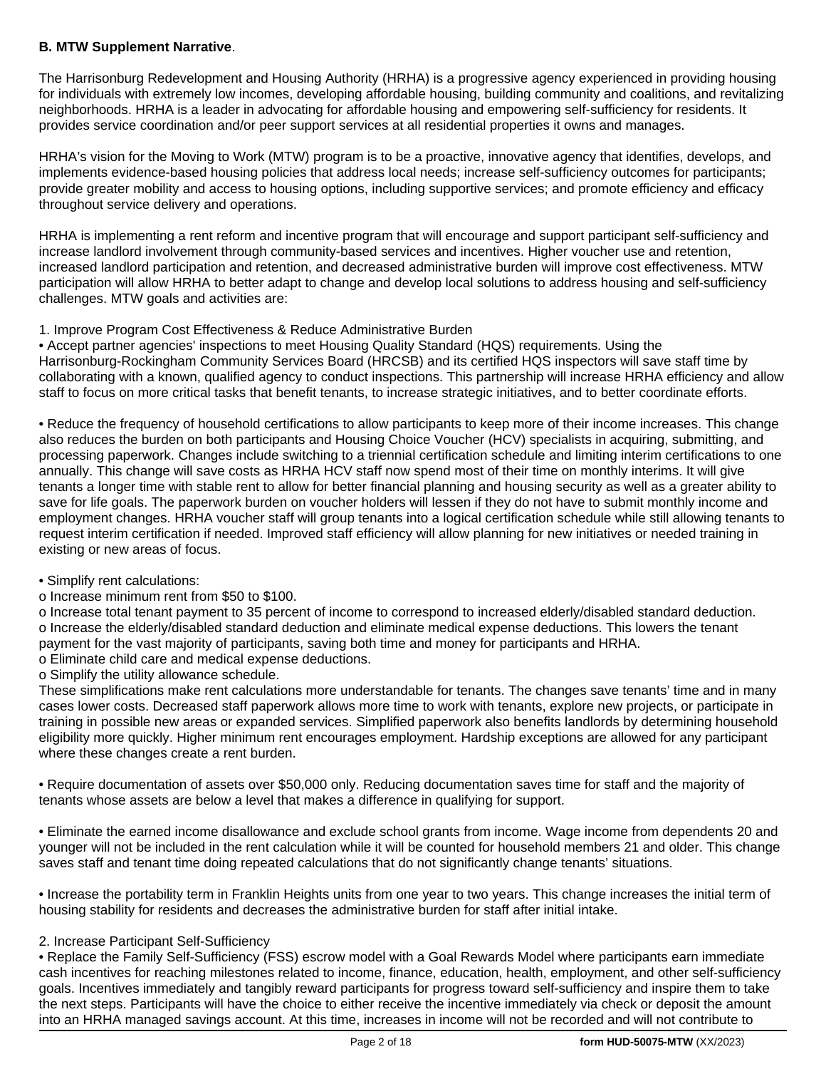# **B. MTW Supplement Narrative**.

The Harrisonburg Redevelopment and Housing Authority (HRHA) is a progressive agency experienced in providing housing for individuals with extremely low incomes, developing affordable housing, building community and coalitions, and revitalizing neighborhoods. HRHA is a leader in advocating for affordable housing and empowering self-sufficiency for residents. It provides service coordination and/or peer support services at all residential properties it owns and manages.

HRHA's vision for the Moving to Work (MTW) program is to be a proactive, innovative agency that identifies, develops, and implements evidence-based housing policies that address local needs; increase self-sufficiency outcomes for participants; provide greater mobility and access to housing options, including supportive services; and promote efficiency and efficacy throughout service delivery and operations.

HRHA is implementing a rent reform and incentive program that will encourage and support participant self-sufficiency and increase landlord involvement through community-based services and incentives. Higher voucher use and retention, increased landlord participation and retention, and decreased administrative burden will improve cost effectiveness. MTW participation will allow HRHA to better adapt to change and develop local solutions to address housing and self-sufficiency challenges. MTW goals and activities are:

# 1. Improve Program Cost Effectiveness & Reduce Administrative Burden

• Accept partner agencies' inspections to meet Housing Quality Standard (HQS) requirements. Using the Harrisonburg-Rockingham Community Services Board (HRCSB) and its certified HQS inspectors will save staff time by collaborating with a known, qualified agency to conduct inspections. This partnership will increase HRHA efficiency and allow staff to focus on more critical tasks that benefit tenants, to increase strategic initiatives, and to better coordinate efforts.

• Reduce the frequency of household certifications to allow participants to keep more of their income increases. This change also reduces the burden on both participants and Housing Choice Voucher (HCV) specialists in acquiring, submitting, and processing paperwork. Changes include switching to a triennial certification schedule and limiting interim certifications to one annually. This change will save costs as HRHA HCV staff now spend most of their time on monthly interims. It will give tenants a longer time with stable rent to allow for better financial planning and housing security as well as a greater ability to save for life goals. The paperwork burden on voucher holders will lessen if they do not have to submit monthly income and employment changes. HRHA voucher staff will group tenants into a logical certification schedule while still allowing tenants to request interim certification if needed. Improved staff efficiency will allow planning for new initiatives or needed training in existing or new areas of focus.

# • Simplify rent calculations:

o Increase minimum rent from \$50 to \$100.

o Increase total tenant payment to 35 percent of income to correspond to increased elderly/disabled standard deduction. o Increase the elderly/disabled standard deduction and eliminate medical expense deductions. This lowers the tenant payment for the vast majority of participants, saving both time and money for participants and HRHA.

o Eliminate child care and medical expense deductions.

o Simplify the utility allowance schedule.

These simplifications make rent calculations more understandable for tenants. The changes save tenants' time and in many cases lower costs. Decreased staff paperwork allows more time to work with tenants, explore new projects, or participate in training in possible new areas or expanded services. Simplified paperwork also benefits landlords by determining household eligibility more quickly. Higher minimum rent encourages employment. Hardship exceptions are allowed for any participant where these changes create a rent burden.

• Require documentation of assets over \$50,000 only. Reducing documentation saves time for staff and the majority of tenants whose assets are below a level that makes a difference in qualifying for support.

• Eliminate the earned income disallowance and exclude school grants from income. Wage income from dependents 20 and younger will not be included in the rent calculation while it will be counted for household members 21 and older. This change saves staff and tenant time doing repeated calculations that do not significantly change tenants' situations.

• Increase the portability term in Franklin Heights units from one year to two years. This change increases the initial term of housing stability for residents and decreases the administrative burden for staff after initial intake.

# 2. Increase Participant Self-Sufficiency

• Replace the Family Self-Sufficiency (FSS) escrow model with a Goal Rewards Model where participants earn immediate cash incentives for reaching milestones related to income, finance, education, health, employment, and other self-sufficiency goals. Incentives immediately and tangibly reward participants for progress toward self-sufficiency and inspire them to take the next steps. Participants will have the choice to either receive the incentive immediately via check or deposit the amount into an HRHA managed savings account. At this time, increases in income will not be recorded and will not contribute to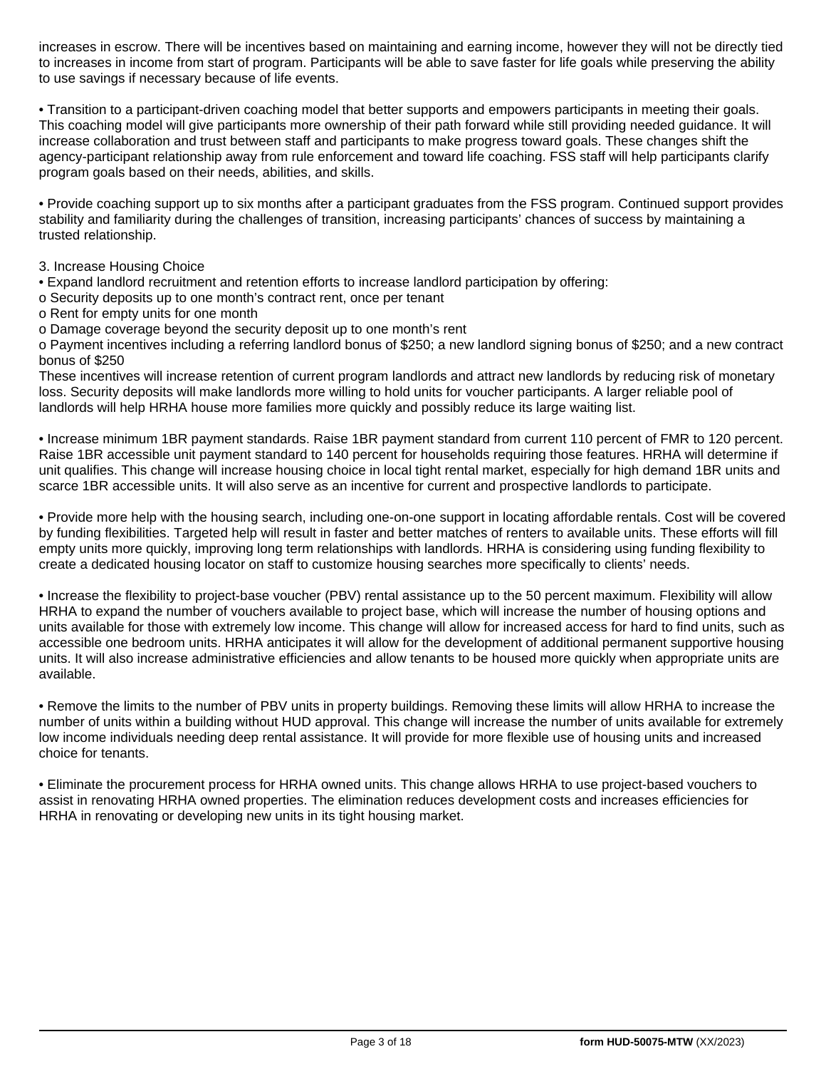increases in escrow. There will be incentives based on maintaining and earning income, however they will not be directly tied to increases in income from start of program. Participants will be able to save faster for life goals while preserving the ability to use savings if necessary because of life events.

• Transition to a participant-driven coaching model that better supports and empowers participants in meeting their goals. This coaching model will give participants more ownership of their path forward while still providing needed guidance. It will increase collaboration and trust between staff and participants to make progress toward goals. These changes shift the agency-participant relationship away from rule enforcement and toward life coaching. FSS staff will help participants clarify program goals based on their needs, abilities, and skills.

• Provide coaching support up to six months after a participant graduates from the FSS program. Continued support provides stability and familiarity during the challenges of transition, increasing participants' chances of success by maintaining a trusted relationship.

3. Increase Housing Choice

• Expand landlord recruitment and retention efforts to increase landlord participation by offering:

o Security deposits up to one month's contract rent, once per tenant

o Rent for empty units for one month

o Damage coverage beyond the security deposit up to one month's rent

o Payment incentives including a referring landlord bonus of \$250; a new landlord signing bonus of \$250; and a new contract bonus of \$250

These incentives will increase retention of current program landlords and attract new landlords by reducing risk of monetary loss. Security deposits will make landlords more willing to hold units for voucher participants. A larger reliable pool of landlords will help HRHA house more families more quickly and possibly reduce its large waiting list.

• Increase minimum 1BR payment standards. Raise 1BR payment standard from current 110 percent of FMR to 120 percent. Raise 1BR accessible unit payment standard to 140 percent for households requiring those features. HRHA will determine if unit qualifies. This change will increase housing choice in local tight rental market, especially for high demand 1BR units and scarce 1BR accessible units. It will also serve as an incentive for current and prospective landlords to participate.

• Provide more help with the housing search, including one-on-one support in locating affordable rentals. Cost will be covered by funding flexibilities. Targeted help will result in faster and better matches of renters to available units. These efforts will fill empty units more quickly, improving long term relationships with landlords. HRHA is considering using funding flexibility to create a dedicated housing locator on staff to customize housing searches more specifically to clients' needs.

• Increase the flexibility to project-base voucher (PBV) rental assistance up to the 50 percent maximum. Flexibility will allow HRHA to expand the number of vouchers available to project base, which will increase the number of housing options and units available for those with extremely low income. This change will allow for increased access for hard to find units, such as accessible one bedroom units. HRHA anticipates it will allow for the development of additional permanent supportive housing units. It will also increase administrative efficiencies and allow tenants to be housed more quickly when appropriate units are available.

• Remove the limits to the number of PBV units in property buildings. Removing these limits will allow HRHA to increase the number of units within a building without HUD approval. This change will increase the number of units available for extremely low income individuals needing deep rental assistance. It will provide for more flexible use of housing units and increased choice for tenants.

• Eliminate the procurement process for HRHA owned units. This change allows HRHA to use project-based vouchers to assist in renovating HRHA owned properties. The elimination reduces development costs and increases efficiencies for HRHA in renovating or developing new units in its tight housing market.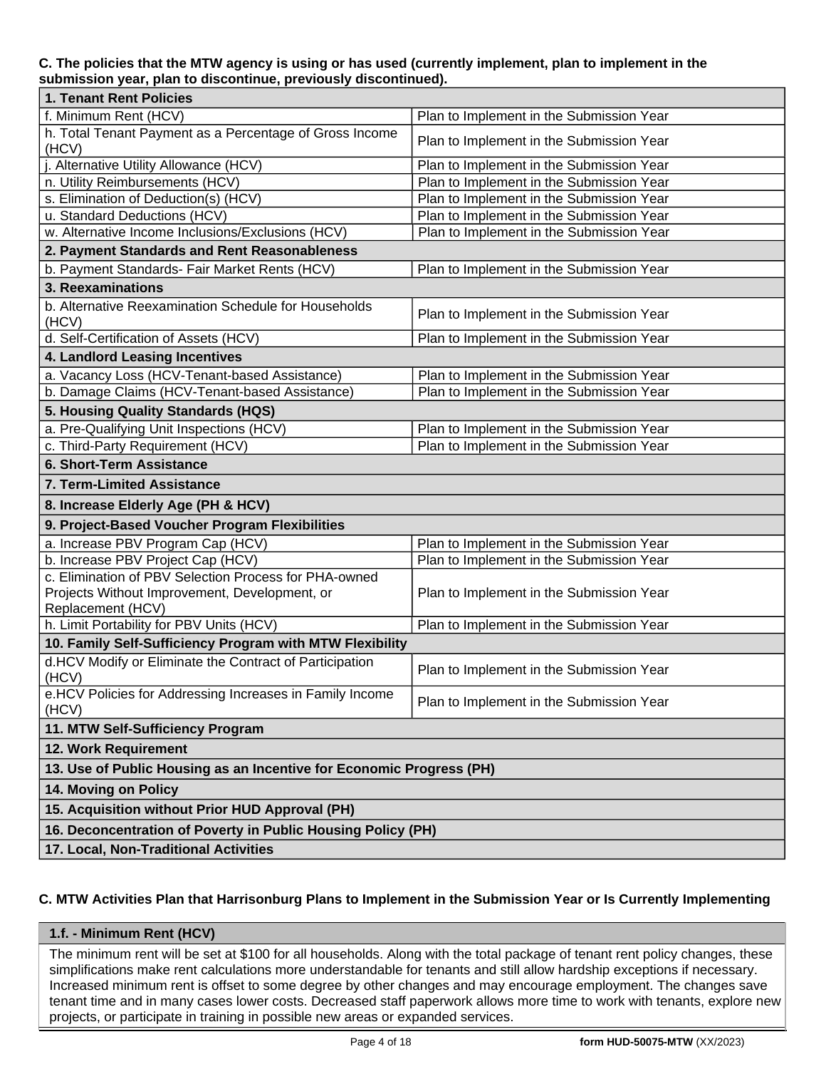# **C. The policies that the MTW agency is using or has used (currently implement, plan to implement in the submission year, plan to discontinue, previously discontinued).**

| 1. Tenant Rent Policies                                                                       |                                          |  |  |  |  |  |  |
|-----------------------------------------------------------------------------------------------|------------------------------------------|--|--|--|--|--|--|
| f. Minimum Rent (HCV)                                                                         | Plan to Implement in the Submission Year |  |  |  |  |  |  |
| h. Total Tenant Payment as a Percentage of Gross Income<br>(HCV)                              | Plan to Implement in the Submission Year |  |  |  |  |  |  |
| Alternative Utility Allowance (HCV)                                                           | Plan to Implement in the Submission Year |  |  |  |  |  |  |
| n. Utility Reimbursements (HCV)                                                               | Plan to Implement in the Submission Year |  |  |  |  |  |  |
| s. Elimination of Deduction(s) (HCV)                                                          | Plan to Implement in the Submission Year |  |  |  |  |  |  |
| u. Standard Deductions (HCV)                                                                  | Plan to Implement in the Submission Year |  |  |  |  |  |  |
| w. Alternative Income Inclusions/Exclusions (HCV)<br>Plan to Implement in the Submission Year |                                          |  |  |  |  |  |  |
| 2. Payment Standards and Rent Reasonableness                                                  |                                          |  |  |  |  |  |  |
| b. Payment Standards- Fair Market Rents (HCV)<br>Plan to Implement in the Submission Year     |                                          |  |  |  |  |  |  |
| 3. Reexaminations                                                                             |                                          |  |  |  |  |  |  |
| b. Alternative Reexamination Schedule for Households<br>(HCV)                                 | Plan to Implement in the Submission Year |  |  |  |  |  |  |
| d. Self-Certification of Assets (HCV)                                                         | Plan to Implement in the Submission Year |  |  |  |  |  |  |
| 4. Landlord Leasing Incentives                                                                |                                          |  |  |  |  |  |  |
| a. Vacancy Loss (HCV-Tenant-based Assistance)                                                 | Plan to Implement in the Submission Year |  |  |  |  |  |  |
| b. Damage Claims (HCV-Tenant-based Assistance)                                                | Plan to Implement in the Submission Year |  |  |  |  |  |  |
| 5. Housing Quality Standards (HQS)                                                            |                                          |  |  |  |  |  |  |
| a. Pre-Qualifying Unit Inspections (HCV)                                                      | Plan to Implement in the Submission Year |  |  |  |  |  |  |
| c. Third-Party Requirement (HCV)                                                              | Plan to Implement in the Submission Year |  |  |  |  |  |  |
| 6. Short-Term Assistance                                                                      |                                          |  |  |  |  |  |  |
| 7. Term-Limited Assistance                                                                    |                                          |  |  |  |  |  |  |
| 8. Increase Elderly Age (PH & HCV)                                                            |                                          |  |  |  |  |  |  |
| 9. Project-Based Voucher Program Flexibilities                                                |                                          |  |  |  |  |  |  |
| a. Increase PBV Program Cap (HCV)                                                             | Plan to Implement in the Submission Year |  |  |  |  |  |  |
| b. Increase PBV Project Cap (HCV)                                                             | Plan to Implement in the Submission Year |  |  |  |  |  |  |
| c. Elimination of PBV Selection Process for PHA-owned                                         |                                          |  |  |  |  |  |  |
| Projects Without Improvement, Development, or                                                 | Plan to Implement in the Submission Year |  |  |  |  |  |  |
| Replacement (HCV)                                                                             |                                          |  |  |  |  |  |  |
| h. Limit Portability for PBV Units (HCV)                                                      | Plan to Implement in the Submission Year |  |  |  |  |  |  |
| 10. Family Self-Sufficiency Program with MTW Flexibility                                      |                                          |  |  |  |  |  |  |
| d.HCV Modify or Eliminate the Contract of Participation                                       | Plan to Implement in the Submission Year |  |  |  |  |  |  |
| (HCV)                                                                                         |                                          |  |  |  |  |  |  |
| e.HCV Policies for Addressing Increases in Family Income                                      | Plan to Implement in the Submission Year |  |  |  |  |  |  |
| (HCV)                                                                                         |                                          |  |  |  |  |  |  |
| 11. MTW Self-Sufficiency Program                                                              |                                          |  |  |  |  |  |  |
| 12. Work Requirement                                                                          |                                          |  |  |  |  |  |  |
| 13. Use of Public Housing as an Incentive for Economic Progress (PH)                          |                                          |  |  |  |  |  |  |
| 14. Moving on Policy                                                                          |                                          |  |  |  |  |  |  |
| 15. Acquisition without Prior HUD Approval (PH)                                               |                                          |  |  |  |  |  |  |
| 16. Deconcentration of Poverty in Public Housing Policy (PH)                                  |                                          |  |  |  |  |  |  |
| 17. Local, Non-Traditional Activities                                                         |                                          |  |  |  |  |  |  |

# **C. MTW Activities Plan that Harrisonburg Plans to Implement in the Submission Year or Is Currently Implementing**

# **1.f. - Minimum Rent (HCV)**

The minimum rent will be set at \$100 for all households. Along with the total package of tenant rent policy changes, these simplifications make rent calculations more understandable for tenants and still allow hardship exceptions if necessary. Increased minimum rent is offset to some degree by other changes and may encourage employment. The changes save tenant time and in many cases lower costs. Decreased staff paperwork allows more time to work with tenants, explore new projects, or participate in training in possible new areas or expanded services.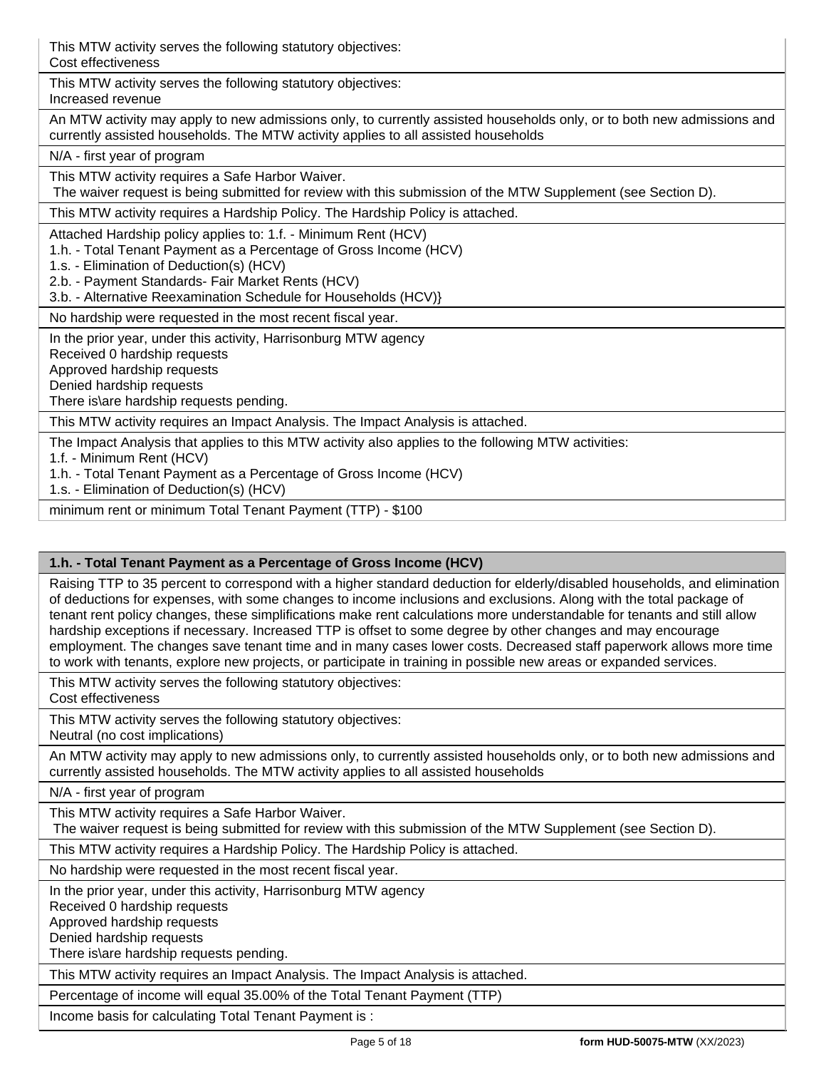| This MTW activity serves the following statutory objectives:<br>Cost effectiveness                                                                                                                                                                                                                      |
|---------------------------------------------------------------------------------------------------------------------------------------------------------------------------------------------------------------------------------------------------------------------------------------------------------|
| This MTW activity serves the following statutory objectives:<br>Increased revenue                                                                                                                                                                                                                       |
| An MTW activity may apply to new admissions only, to currently assisted households only, or to both new admissions and<br>currently assisted households. The MTW activity applies to all assisted households                                                                                            |
| N/A - first year of program                                                                                                                                                                                                                                                                             |
| This MTW activity requires a Safe Harbor Waiver.<br>The waiver request is being submitted for review with this submission of the MTW Supplement (see Section D).                                                                                                                                        |
| This MTW activity requires a Hardship Policy. The Hardship Policy is attached.                                                                                                                                                                                                                          |
| Attached Hardship policy applies to: 1.f. - Minimum Rent (HCV)<br>1.h. - Total Tenant Payment as a Percentage of Gross Income (HCV)<br>1.s. - Elimination of Deduction(s) (HCV)<br>2.b. - Payment Standards- Fair Market Rents (HCV)<br>3.b. - Alternative Reexamination Schedule for Households (HCV)} |
| No hardship were requested in the most recent fiscal year.                                                                                                                                                                                                                                              |
| In the prior year, under this activity, Harrisonburg MTW agency<br>Received 0 hardship requests<br>Approved hardship requests<br>Denied hardship requests<br>There is\are hardship requests pending.                                                                                                    |
| This MTW activity requires an Impact Analysis. The Impact Analysis is attached.                                                                                                                                                                                                                         |
| The Impact Analysis that applies to this MTW activity also applies to the following MTW activities:<br>1.f. - Minimum Rent (HCV)<br>1.h. - Total Tenant Payment as a Percentage of Gross Income (HCV)<br>1.s. - Elimination of Deduction(s) (HCV)                                                       |
| minimum rent or minimum Total Tenant Payment (TTP) - \$100                                                                                                                                                                                                                                              |

# **1.h. - Total Tenant Payment as a Percentage of Gross Income (HCV)**

Raising TTP to 35 percent to correspond with a higher standard deduction for elderly/disabled households, and elimination of deductions for expenses, with some changes to income inclusions and exclusions. Along with the total package of tenant rent policy changes, these simplifications make rent calculations more understandable for tenants and still allow hardship exceptions if necessary. Increased TTP is offset to some degree by other changes and may encourage employment. The changes save tenant time and in many cases lower costs. Decreased staff paperwork allows more time to work with tenants, explore new projects, or participate in training in possible new areas or expanded services.

This MTW activity serves the following statutory objectives: Cost effectiveness

This MTW activity serves the following statutory objectives:

Neutral (no cost implications)

An MTW activity may apply to new admissions only, to currently assisted households only, or to both new admissions and currently assisted households. The MTW activity applies to all assisted households

N/A - first year of program

This MTW activity requires a Safe Harbor Waiver.

The waiver request is being submitted for review with this submission of the MTW Supplement (see Section D).

This MTW activity requires a Hardship Policy. The Hardship Policy is attached.

No hardship were requested in the most recent fiscal year.

In the prior year, under this activity, Harrisonburg MTW agency

Received 0 hardship requests

Approved hardship requests

Denied hardship requests

There is\are hardship requests pending.

This MTW activity requires an Impact Analysis. The Impact Analysis is attached.

Percentage of income will equal 35.00% of the Total Tenant Payment (TTP)

Income basis for calculating Total Tenant Payment is :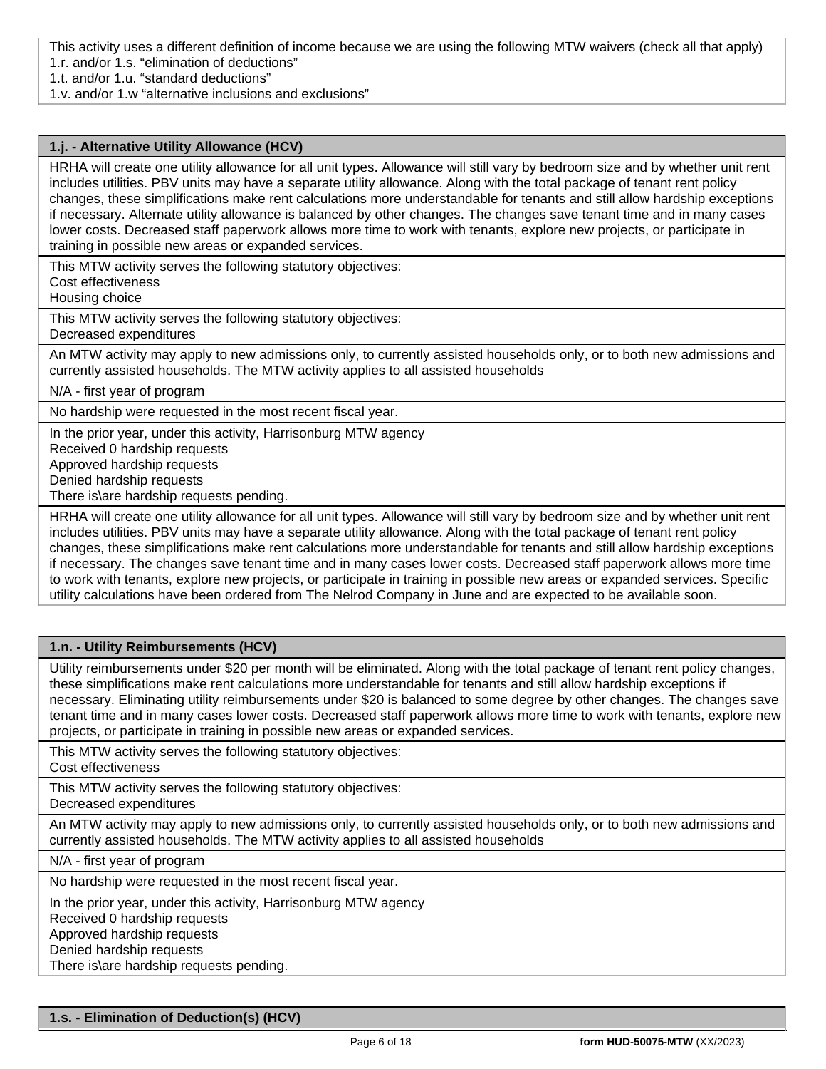This activity uses a different definition of income because we are using the following MTW waivers (check all that apply)

1.r. and/or 1.s. "elimination of deductions"

1.t. and/or 1.u. "standard deductions"

1.v. and/or 1.w "alternative inclusions and exclusions"

## **1.j. - Alternative Utility Allowance (HCV)**

HRHA will create one utility allowance for all unit types. Allowance will still vary by bedroom size and by whether unit rent includes utilities. PBV units may have a separate utility allowance. Along with the total package of tenant rent policy changes, these simplifications make rent calculations more understandable for tenants and still allow hardship exceptions if necessary. Alternate utility allowance is balanced by other changes. The changes save tenant time and in many cases lower costs. Decreased staff paperwork allows more time to work with tenants, explore new projects, or participate in training in possible new areas or expanded services.

This MTW activity serves the following statutory objectives:

Cost effectiveness

Housing choice

This MTW activity serves the following statutory objectives:

Decreased expenditures

An MTW activity may apply to new admissions only, to currently assisted households only, or to both new admissions and currently assisted households. The MTW activity applies to all assisted households

N/A - first year of program

No hardship were requested in the most recent fiscal year.

In the prior year, under this activity, Harrisonburg MTW agency

Received 0 hardship requests

Approved hardship requests

Denied hardship requests

There is\are hardship requests pending.

HRHA will create one utility allowance for all unit types. Allowance will still vary by bedroom size and by whether unit rent includes utilities. PBV units may have a separate utility allowance. Along with the total package of tenant rent policy changes, these simplifications make rent calculations more understandable for tenants and still allow hardship exceptions if necessary. The changes save tenant time and in many cases lower costs. Decreased staff paperwork allows more time to work with tenants, explore new projects, or participate in training in possible new areas or expanded services. Specific utility calculations have been ordered from The Nelrod Company in June and are expected to be available soon.

# **1.n. - Utility Reimbursements (HCV)**

Utility reimbursements under \$20 per month will be eliminated. Along with the total package of tenant rent policy changes, these simplifications make rent calculations more understandable for tenants and still allow hardship exceptions if necessary. Eliminating utility reimbursements under \$20 is balanced to some degree by other changes. The changes save tenant time and in many cases lower costs. Decreased staff paperwork allows more time to work with tenants, explore new projects, or participate in training in possible new areas or expanded services.

This MTW activity serves the following statutory objectives:

Cost effectiveness

This MTW activity serves the following statutory objectives:

Decreased expenditures

An MTW activity may apply to new admissions only, to currently assisted households only, or to both new admissions and currently assisted households. The MTW activity applies to all assisted households

N/A - first year of program

No hardship were requested in the most recent fiscal year.

In the prior year, under this activity, Harrisonburg MTW agency

Received 0 hardship requests

Approved hardship requests

Denied hardship requests

There is\are hardship requests pending.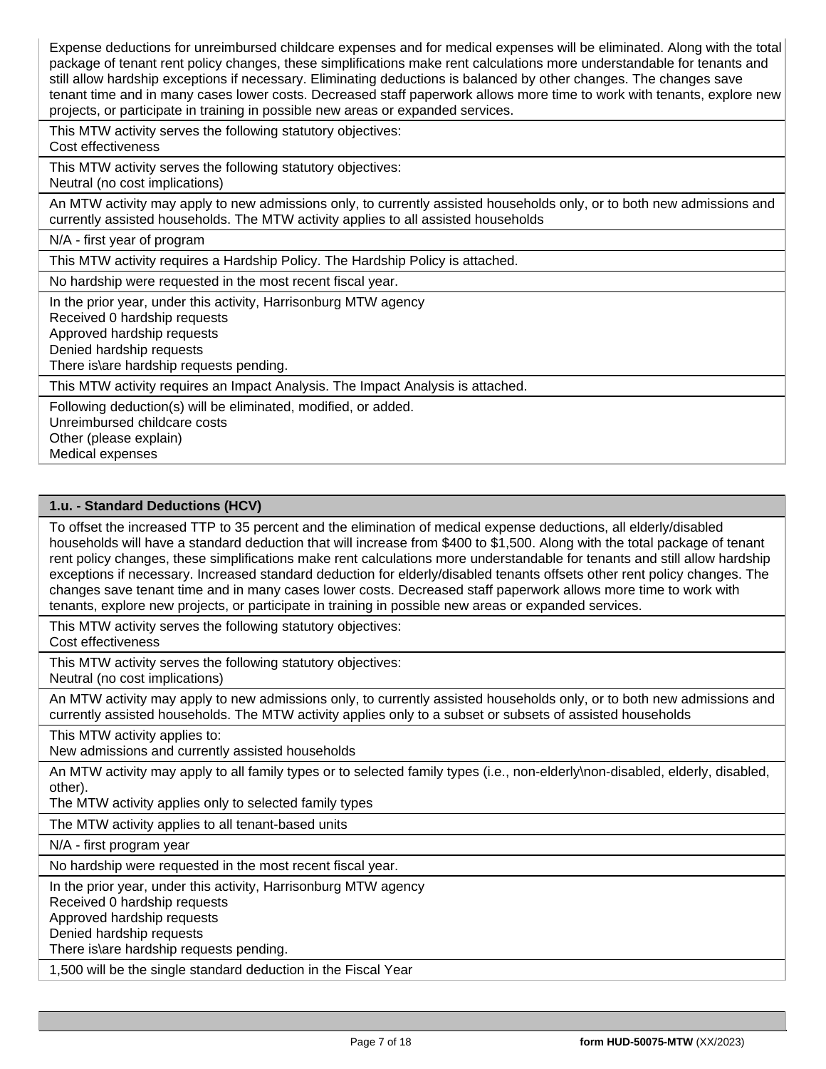Expense deductions for unreimbursed childcare expenses and for medical expenses will be eliminated. Along with the total package of tenant rent policy changes, these simplifications make rent calculations more understandable for tenants and still allow hardship exceptions if necessary. Eliminating deductions is balanced by other changes. The changes save tenant time and in many cases lower costs. Decreased staff paperwork allows more time to work with tenants, explore new projects, or participate in training in possible new areas or expanded services.

This MTW activity serves the following statutory objectives: Cost effectiveness

This MTW activity serves the following statutory objectives: Neutral (no cost implications)

An MTW activity may apply to new admissions only, to currently assisted households only, or to both new admissions and currently assisted households. The MTW activity applies to all assisted households

N/A - first year of program

This MTW activity requires a Hardship Policy. The Hardship Policy is attached.

No hardship were requested in the most recent fiscal year.

In the prior year, under this activity, Harrisonburg MTW agency

Received 0 hardship requests

Approved hardship requests

Denied hardship requests

There is\are hardship requests pending.

This MTW activity requires an Impact Analysis. The Impact Analysis is attached.

Following deduction(s) will be eliminated, modified, or added.

Unreimbursed childcare costs

Other (please explain)

Medical expenses

#### **1.u. - Standard Deductions (HCV)**

To offset the increased TTP to 35 percent and the elimination of medical expense deductions, all elderly/disabled households will have a standard deduction that will increase from \$400 to \$1,500. Along with the total package of tenant rent policy changes, these simplifications make rent calculations more understandable for tenants and still allow hardship exceptions if necessary. Increased standard deduction for elderly/disabled tenants offsets other rent policy changes. The changes save tenant time and in many cases lower costs. Decreased staff paperwork allows more time to work with tenants, explore new projects, or participate in training in possible new areas or expanded services.

This MTW activity serves the following statutory objectives:

Cost effectiveness

This MTW activity serves the following statutory objectives:

Neutral (no cost implications)

An MTW activity may apply to new admissions only, to currently assisted households only, or to both new admissions and currently assisted households. The MTW activity applies only to a subset or subsets of assisted households

This MTW activity applies to:

New admissions and currently assisted households

An MTW activity may apply to all family types or to selected family types (i.e., non-elderly\non-disabled, elderly, disabled, other).

The MTW activity applies only to selected family types

The MTW activity applies to all tenant-based units

N/A - first program year

No hardship were requested in the most recent fiscal year.

In the prior year, under this activity, Harrisonburg MTW agency

Received 0 hardship requests

Approved hardship requests

Denied hardship requests

There is\are hardship requests pending.

1,500 will be the single standard deduction in the Fiscal Year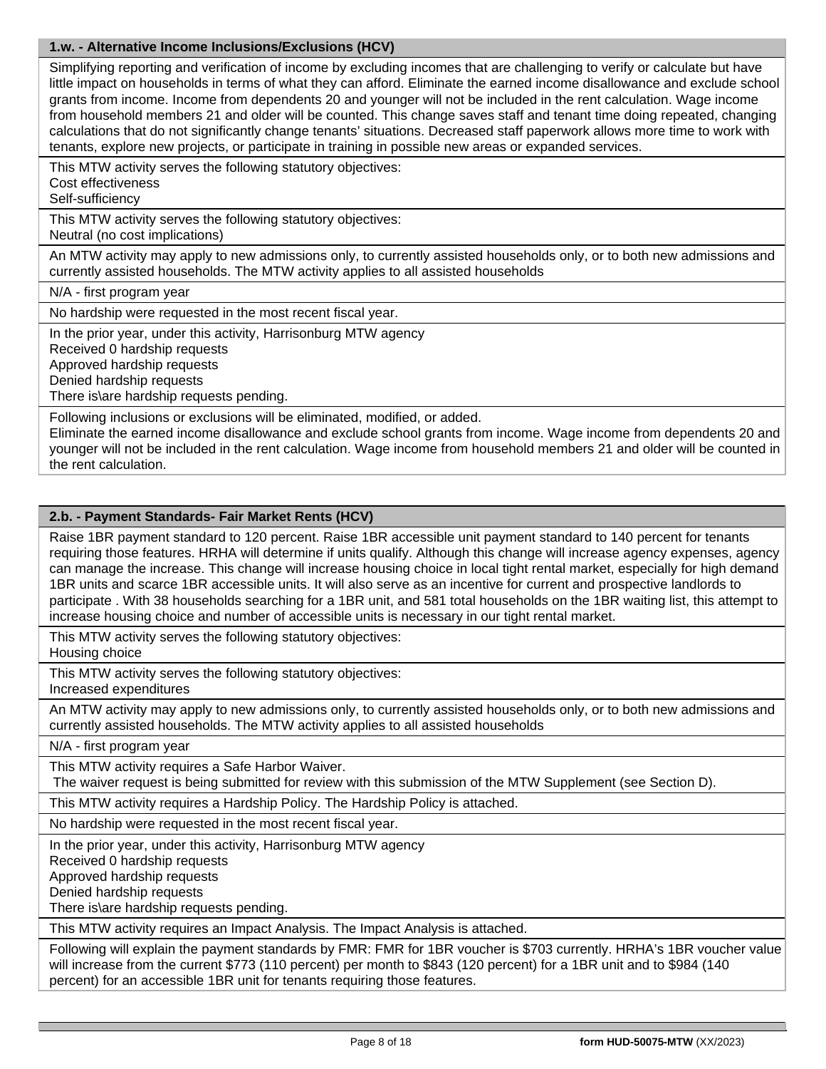# **1.w. - Alternative Income Inclusions/Exclusions (HCV)**

Simplifying reporting and verification of income by excluding incomes that are challenging to verify or calculate but have little impact on households in terms of what they can afford. Eliminate the earned income disallowance and exclude school grants from income. Income from dependents 20 and younger will not be included in the rent calculation. Wage income from household members 21 and older will be counted. This change saves staff and tenant time doing repeated, changing calculations that do not significantly change tenants' situations. Decreased staff paperwork allows more time to work with tenants, explore new projects, or participate in training in possible new areas or expanded services.

This MTW activity serves the following statutory objectives:

Cost effectiveness

Self-sufficiency

This MTW activity serves the following statutory objectives:

Neutral (no cost implications)

An MTW activity may apply to new admissions only, to currently assisted households only, or to both new admissions and currently assisted households. The MTW activity applies to all assisted households

N/A - first program year

No hardship were requested in the most recent fiscal year.

In the prior year, under this activity, Harrisonburg MTW agency

Received 0 hardship requests

Approved hardship requests

Denied hardship requests

There is\are hardship requests pending.

Following inclusions or exclusions will be eliminated, modified, or added.

Eliminate the earned income disallowance and exclude school grants from income. Wage income from dependents 20 and younger will not be included in the rent calculation. Wage income from household members 21 and older will be counted in the rent calculation.

# **2.b. - Payment Standards- Fair Market Rents (HCV)**

Raise 1BR payment standard to 120 percent. Raise 1BR accessible unit payment standard to 140 percent for tenants requiring those features. HRHA will determine if units qualify. Although this change will increase agency expenses, agency can manage the increase. This change will increase housing choice in local tight rental market, especially for high demand 1BR units and scarce 1BR accessible units. It will also serve as an incentive for current and prospective landlords to participate . With 38 households searching for a 1BR unit, and 581 total households on the 1BR waiting list, this attempt to increase housing choice and number of accessible units is necessary in our tight rental market.

This MTW activity serves the following statutory objectives: Housing choice

This MTW activity serves the following statutory objectives: Increased expenditures

An MTW activity may apply to new admissions only, to currently assisted households only, or to both new admissions and currently assisted households. The MTW activity applies to all assisted households

N/A - first program year

This MTW activity requires a Safe Harbor Waiver.

The waiver request is being submitted for review with this submission of the MTW Supplement (see Section D).

This MTW activity requires a Hardship Policy. The Hardship Policy is attached.

No hardship were requested in the most recent fiscal year.

In the prior year, under this activity, Harrisonburg MTW agency

Received 0 hardship requests

Approved hardship requests

Denied hardship requests

There is\are hardship requests pending.

This MTW activity requires an Impact Analysis. The Impact Analysis is attached.

Following will explain the payment standards by FMR: FMR for 1BR voucher is \$703 currently. HRHA's 1BR voucher value will increase from the current \$773 (110 percent) per month to \$843 (120 percent) for a 1BR unit and to \$984 (140 percent) for an accessible 1BR unit for tenants requiring those features.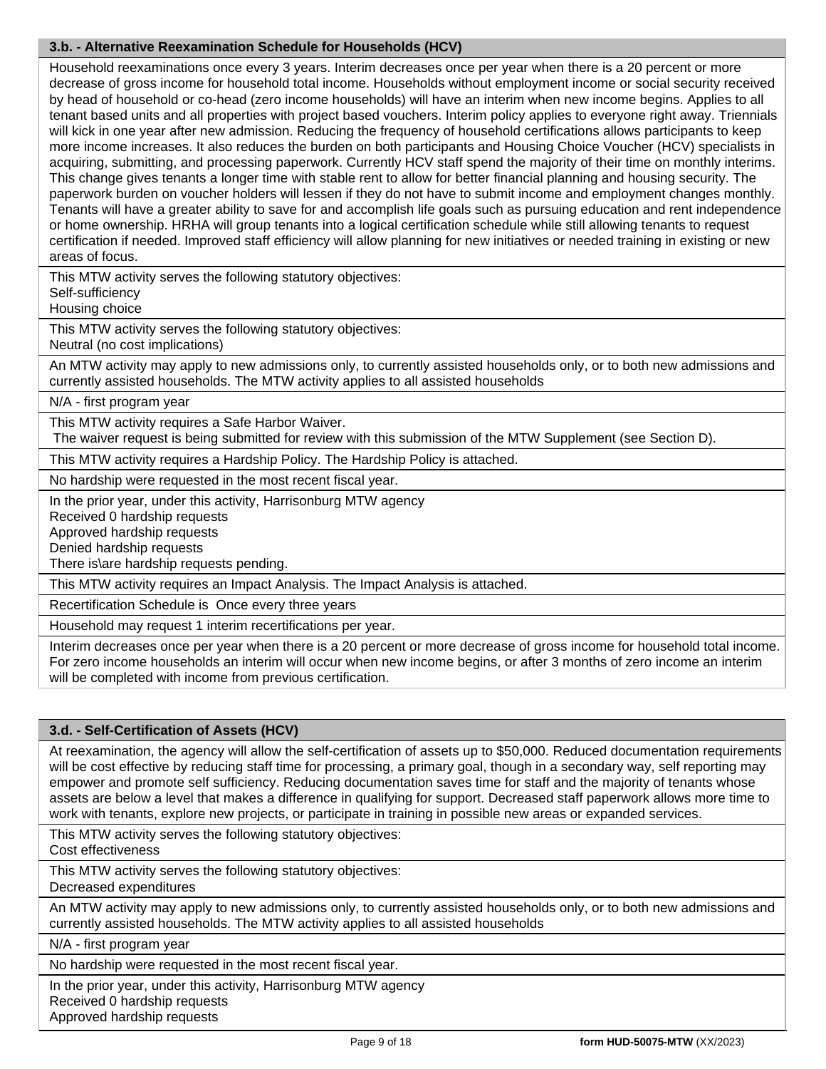# **3.b. - Alternative Reexamination Schedule for Households (HCV)**

Household reexaminations once every 3 years. Interim decreases once per year when there is a 20 percent or more decrease of gross income for household total income. Households without employment income or social security received by head of household or co-head (zero income households) will have an interim when new income begins. Applies to all tenant based units and all properties with project based vouchers. Interim policy applies to everyone right away. Triennials will kick in one year after new admission. Reducing the frequency of household certifications allows participants to keep more income increases. It also reduces the burden on both participants and Housing Choice Voucher (HCV) specialists in acquiring, submitting, and processing paperwork. Currently HCV staff spend the majority of their time on monthly interims. This change gives tenants a longer time with stable rent to allow for better financial planning and housing security. The paperwork burden on voucher holders will lessen if they do not have to submit income and employment changes monthly. Tenants will have a greater ability to save for and accomplish life goals such as pursuing education and rent independence or home ownership. HRHA will group tenants into a logical certification schedule while still allowing tenants to request certification if needed. Improved staff efficiency will allow planning for new initiatives or needed training in existing or new areas of focus.

This MTW activity serves the following statutory objectives:

Self-sufficiency

Housing choice

This MTW activity serves the following statutory objectives: Neutral (no cost implications)

An MTW activity may apply to new admissions only, to currently assisted households only, or to both new admissions and currently assisted households. The MTW activity applies to all assisted households

N/A - first program year

This MTW activity requires a Safe Harbor Waiver.

The waiver request is being submitted for review with this submission of the MTW Supplement (see Section D).

This MTW activity requires a Hardship Policy. The Hardship Policy is attached.

No hardship were requested in the most recent fiscal year.

In the prior year, under this activity, Harrisonburg MTW agency

Received 0 hardship requests

Approved hardship requests

Denied hardship requests

There is\are hardship requests pending.

This MTW activity requires an Impact Analysis. The Impact Analysis is attached.

Recertification Schedule is Once every three years

Household may request 1 interim recertifications per year.

Interim decreases once per year when there is a 20 percent or more decrease of gross income for household total income. For zero income households an interim will occur when new income begins, or after 3 months of zero income an interim will be completed with income from previous certification.

#### **3.d. - Self-Certification of Assets (HCV)**

At reexamination, the agency will allow the self-certification of assets up to \$50,000. Reduced documentation requirements will be cost effective by reducing staff time for processing, a primary goal, though in a secondary way, self reporting may empower and promote self sufficiency. Reducing documentation saves time for staff and the majority of tenants whose assets are below a level that makes a difference in qualifying for support. Decreased staff paperwork allows more time to work with tenants, explore new projects, or participate in training in possible new areas or expanded services.

This MTW activity serves the following statutory objectives:

Cost effectiveness

This MTW activity serves the following statutory objectives:

Decreased expenditures

An MTW activity may apply to new admissions only, to currently assisted households only, or to both new admissions and currently assisted households. The MTW activity applies to all assisted households

N/A - first program year

No hardship were requested in the most recent fiscal year.

In the prior year, under this activity, Harrisonburg MTW agency

Received 0 hardship requests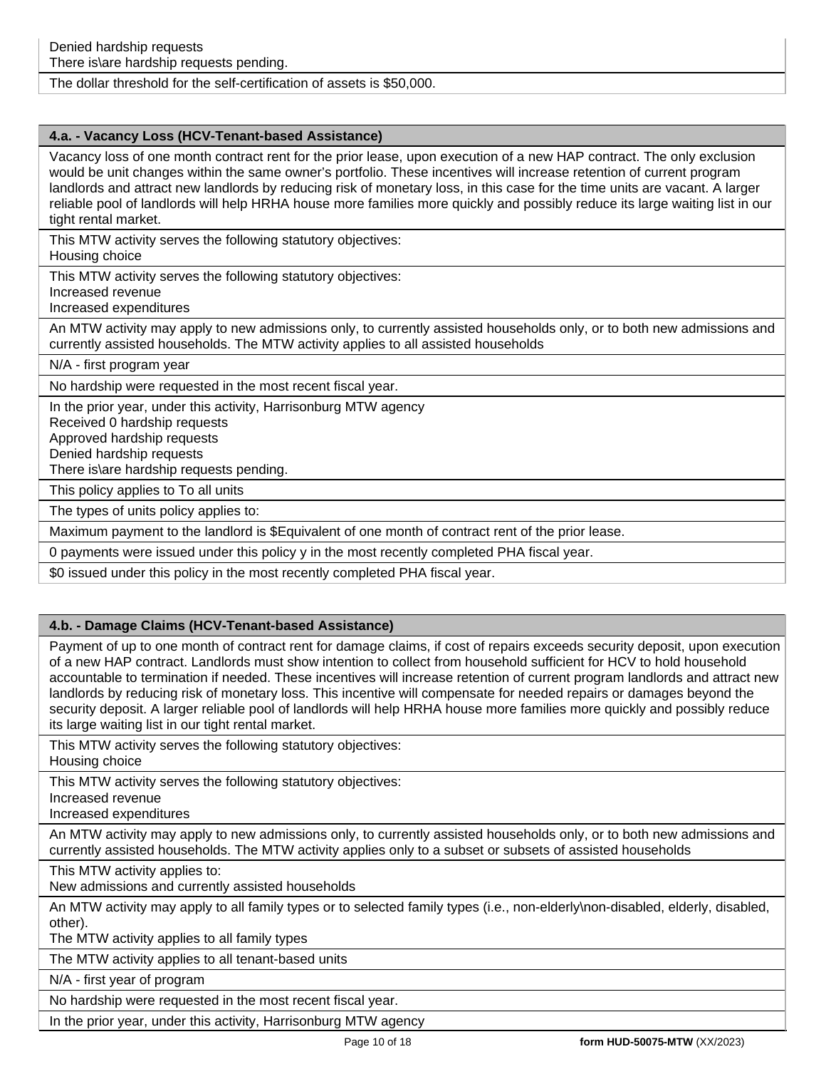### The dollar threshold for the self-certification of assets is \$50,000.

## **4.a. - Vacancy Loss (HCV-Tenant-based Assistance)**

Vacancy loss of one month contract rent for the prior lease, upon execution of a new HAP contract. The only exclusion would be unit changes within the same owner's portfolio. These incentives will increase retention of current program landlords and attract new landlords by reducing risk of monetary loss, in this case for the time units are vacant. A larger reliable pool of landlords will help HRHA house more families more quickly and possibly reduce its large waiting list in our tight rental market.

This MTW activity serves the following statutory objectives:

Housing choice

This MTW activity serves the following statutory objectives:

Increased revenue

Increased expenditures

An MTW activity may apply to new admissions only, to currently assisted households only, or to both new admissions and currently assisted households. The MTW activity applies to all assisted households

N/A - first program year

No hardship were requested in the most recent fiscal year.

In the prior year, under this activity, Harrisonburg MTW agency

Received 0 hardship requests

Approved hardship requests

Denied hardship requests

There is\are hardship requests pending.

This policy applies to To all units

The types of units policy applies to:

Maximum payment to the landlord is \$Equivalent of one month of contract rent of the prior lease.

0 payments were issued under this policy y in the most recently completed PHA fiscal year.

\$0 issued under this policy in the most recently completed PHA fiscal year.

#### **4.b. - Damage Claims (HCV-Tenant-based Assistance)**

Payment of up to one month of contract rent for damage claims, if cost of repairs exceeds security deposit, upon execution of a new HAP contract. Landlords must show intention to collect from household sufficient for HCV to hold household accountable to termination if needed. These incentives will increase retention of current program landlords and attract new landlords by reducing risk of monetary loss. This incentive will compensate for needed repairs or damages beyond the security deposit. A larger reliable pool of landlords will help HRHA house more families more quickly and possibly reduce its large waiting list in our tight rental market.

This MTW activity serves the following statutory objectives: Housing choice

This MTW activity serves the following statutory objectives:

Increased revenue

Increased expenditures

An MTW activity may apply to new admissions only, to currently assisted households only, or to both new admissions and currently assisted households. The MTW activity applies only to a subset or subsets of assisted households

This MTW activity applies to:

New admissions and currently assisted households

An MTW activity may apply to all family types or to selected family types (i.e., non-elderly\non-disabled, elderly, disabled, other).

The MTW activity applies to all family types

The MTW activity applies to all tenant-based units

N/A - first year of program

No hardship were requested in the most recent fiscal year.

In the prior year, under this activity, Harrisonburg MTW agency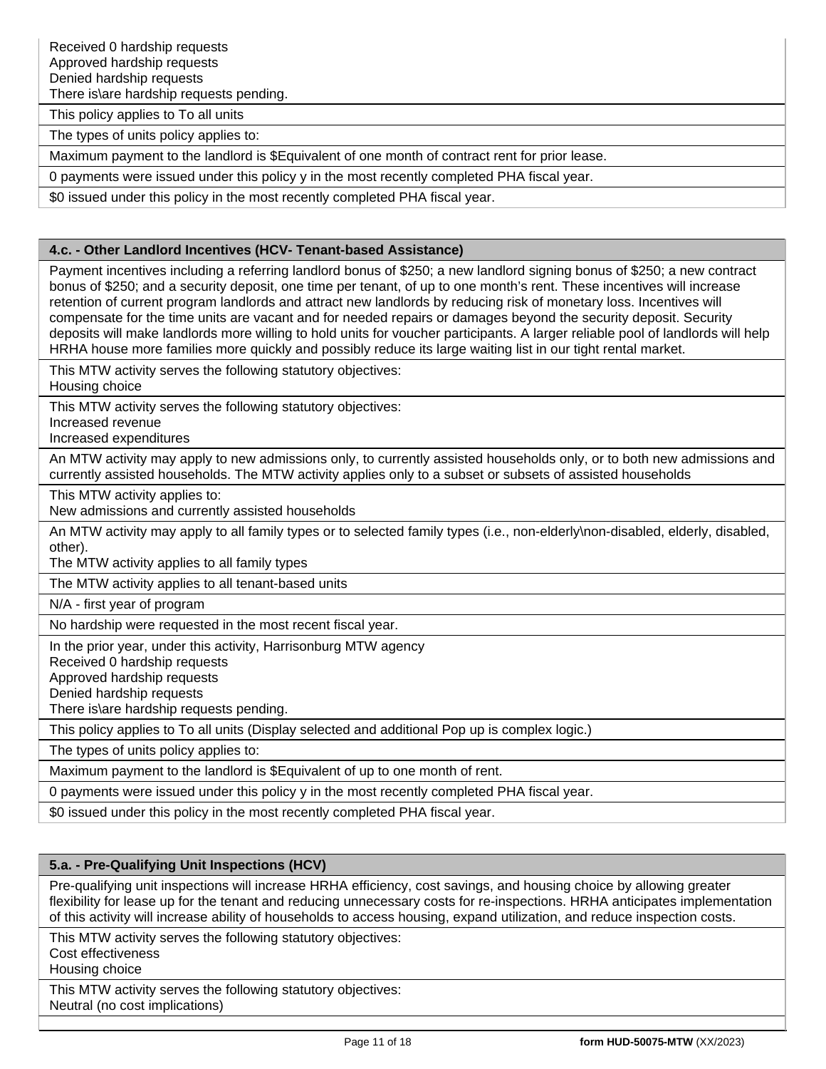There is\are hardship requests pending.

This policy applies to To all units

The types of units policy applies to:

Maximum payment to the landlord is \$Equivalent of one month of contract rent for prior lease.

0 payments were issued under this policy y in the most recently completed PHA fiscal year.

\$0 issued under this policy in the most recently completed PHA fiscal year.

### **4.c. - Other Landlord Incentives (HCV- Tenant-based Assistance)**

Payment incentives including a referring landlord bonus of \$250; a new landlord signing bonus of \$250; a new contract bonus of \$250; and a security deposit, one time per tenant, of up to one month's rent. These incentives will increase retention of current program landlords and attract new landlords by reducing risk of monetary loss. Incentives will compensate for the time units are vacant and for needed repairs or damages beyond the security deposit. Security deposits will make landlords more willing to hold units for voucher participants. A larger reliable pool of landlords will help HRHA house more families more quickly and possibly reduce its large waiting list in our tight rental market.

This MTW activity serves the following statutory objectives:

Housing choice

This MTW activity serves the following statutory objectives:

Increased revenue

Increased expenditures

An MTW activity may apply to new admissions only, to currently assisted households only, or to both new admissions and currently assisted households. The MTW activity applies only to a subset or subsets of assisted households

This MTW activity applies to:

New admissions and currently assisted households

An MTW activity may apply to all family types or to selected family types (i.e., non-elderly\non-disabled, elderly, disabled, other).

The MTW activity applies to all family types

The MTW activity applies to all tenant-based units

N/A - first year of program

No hardship were requested in the most recent fiscal year.

In the prior year, under this activity, Harrisonburg MTW agency

Received 0 hardship requests

Approved hardship requests

Denied hardship requests

There is\are hardship requests pending.

This policy applies to To all units (Display selected and additional Pop up is complex logic.)

The types of units policy applies to:

Maximum payment to the landlord is \$Equivalent of up to one month of rent.

0 payments were issued under this policy y in the most recently completed PHA fiscal year.

\$0 issued under this policy in the most recently completed PHA fiscal year.

# **5.a. - Pre-Qualifying Unit Inspections (HCV)**

Pre-qualifying unit inspections will increase HRHA efficiency, cost savings, and housing choice by allowing greater flexibility for lease up for the tenant and reducing unnecessary costs for re-inspections. HRHA anticipates implementation of this activity will increase ability of households to access housing, expand utilization, and reduce inspection costs.

This MTW activity serves the following statutory objectives:

Cost effectiveness

Housing choice

This MTW activity serves the following statutory objectives: Neutral (no cost implications)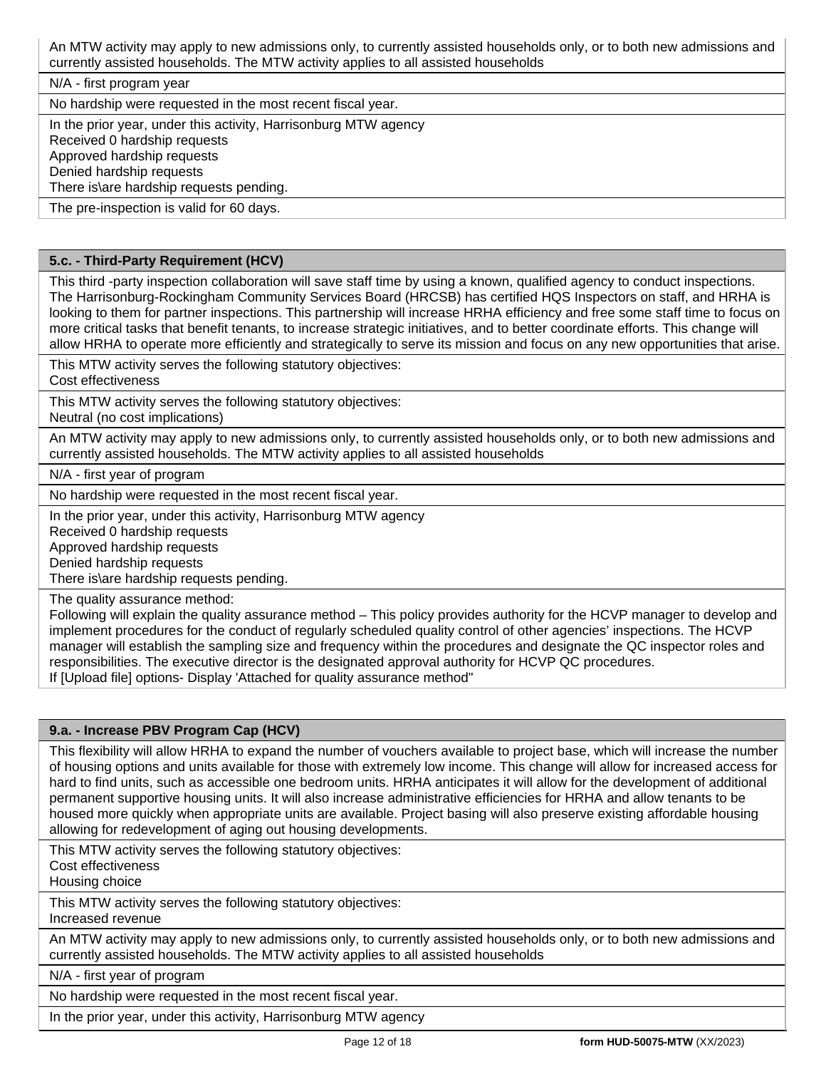An MTW activity may apply to new admissions only, to currently assisted households only, or to both new admissions and currently assisted households. The MTW activity applies to all assisted households

N/A - first program year

No hardship were requested in the most recent fiscal year.

In the prior year, under this activity, Harrisonburg MTW agency

Received 0 hardship requests

Approved hardship requests

Denied hardship requests

There is\are hardship requests pending. The pre-inspection is valid for 60 days.

# **5.c. - Third-Party Requirement (HCV)**

This third -party inspection collaboration will save staff time by using a known, qualified agency to conduct inspections. The Harrisonburg-Rockingham Community Services Board (HRCSB) has certified HQS Inspectors on staff, and HRHA is looking to them for partner inspections. This partnership will increase HRHA efficiency and free some staff time to focus on more critical tasks that benefit tenants, to increase strategic initiatives, and to better coordinate efforts. This change will allow HRHA to operate more efficiently and strategically to serve its mission and focus on any new opportunities that arise.

This MTW activity serves the following statutory objectives:

Cost effectiveness

This MTW activity serves the following statutory objectives:

Neutral (no cost implications)

An MTW activity may apply to new admissions only, to currently assisted households only, or to both new admissions and currently assisted households. The MTW activity applies to all assisted households

N/A - first year of program

No hardship were requested in the most recent fiscal year.

In the prior year, under this activity, Harrisonburg MTW agency

Received 0 hardship requests

Approved hardship requests

Denied hardship requests

There is\are hardship requests pending.

The quality assurance method:

Following will explain the quality assurance method – This policy provides authority for the HCVP manager to develop and implement procedures for the conduct of regularly scheduled quality control of other agencies' inspections. The HCVP manager will establish the sampling size and frequency within the procedures and designate the QC inspector roles and responsibilities. The executive director is the designated approval authority for HCVP QC procedures. If [Upload file] options- Display 'Attached for quality assurance method"

#### **9.a. - Increase PBV Program Cap (HCV)**

This flexibility will allow HRHA to expand the number of vouchers available to project base, which will increase the number of housing options and units available for those with extremely low income. This change will allow for increased access for hard to find units, such as accessible one bedroom units. HRHA anticipates it will allow for the development of additional permanent supportive housing units. It will also increase administrative efficiencies for HRHA and allow tenants to be housed more quickly when appropriate units are available. Project basing will also preserve existing affordable housing allowing for redevelopment of aging out housing developments.

This MTW activity serves the following statutory objectives: Cost effectiveness

Housing choice

This MTW activity serves the following statutory objectives: Increased revenue

An MTW activity may apply to new admissions only, to currently assisted households only, or to both new admissions and currently assisted households. The MTW activity applies to all assisted households

N/A - first year of program

No hardship were requested in the most recent fiscal year.

In the prior year, under this activity, Harrisonburg MTW agency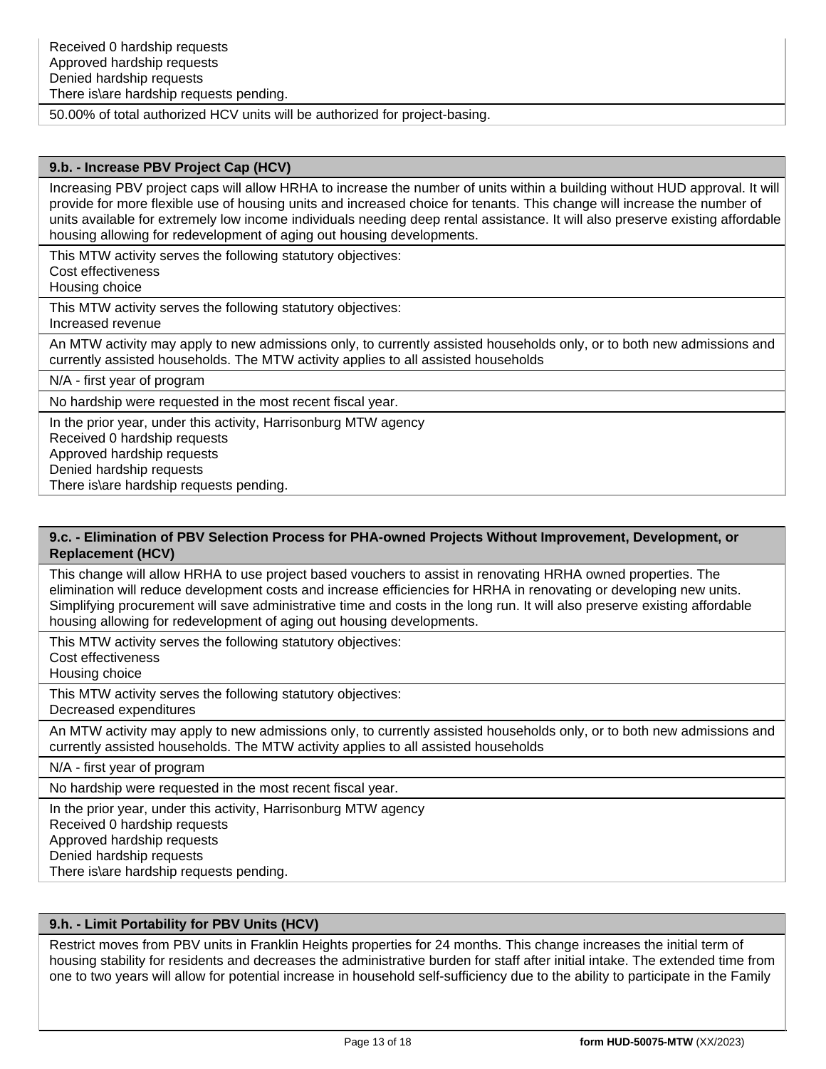50.00% of total authorized HCV units will be authorized for project-basing.

#### **9.b. - Increase PBV Project Cap (HCV)**

Increasing PBV project caps will allow HRHA to increase the number of units within a building without HUD approval. It will provide for more flexible use of housing units and increased choice for tenants. This change will increase the number of units available for extremely low income individuals needing deep rental assistance. It will also preserve existing affordable housing allowing for redevelopment of aging out housing developments.

This MTW activity serves the following statutory objectives:

Cost effectiveness

Housing choice

This MTW activity serves the following statutory objectives: Increased revenue

An MTW activity may apply to new admissions only, to currently assisted households only, or to both new admissions and currently assisted households. The MTW activity applies to all assisted households

N/A - first year of program

No hardship were requested in the most recent fiscal year.

In the prior year, under this activity, Harrisonburg MTW agency

Received 0 hardship requests

Approved hardship requests

Denied hardship requests

There is\are hardship requests pending.

#### **9.c. - Elimination of PBV Selection Process for PHA-owned Projects Without Improvement, Development, or Replacement (HCV)**

This change will allow HRHA to use project based vouchers to assist in renovating HRHA owned properties. The elimination will reduce development costs and increase efficiencies for HRHA in renovating or developing new units. Simplifying procurement will save administrative time and costs in the long run. It will also preserve existing affordable housing allowing for redevelopment of aging out housing developments.

This MTW activity serves the following statutory objectives:

Cost effectiveness

Housing choice

This MTW activity serves the following statutory objectives: Decreased expenditures

An MTW activity may apply to new admissions only, to currently assisted households only, or to both new admissions and currently assisted households. The MTW activity applies to all assisted households

N/A - first year of program

No hardship were requested in the most recent fiscal year.

In the prior year, under this activity, Harrisonburg MTW agency

Received 0 hardship requests

Approved hardship requests

Denied hardship requests

There is\are hardship requests pending.

## **9.h. - Limit Portability for PBV Units (HCV)**

Restrict moves from PBV units in Franklin Heights properties for 24 months. This change increases the initial term of housing stability for residents and decreases the administrative burden for staff after initial intake. The extended time from one to two years will allow for potential increase in household self-sufficiency due to the ability to participate in the Family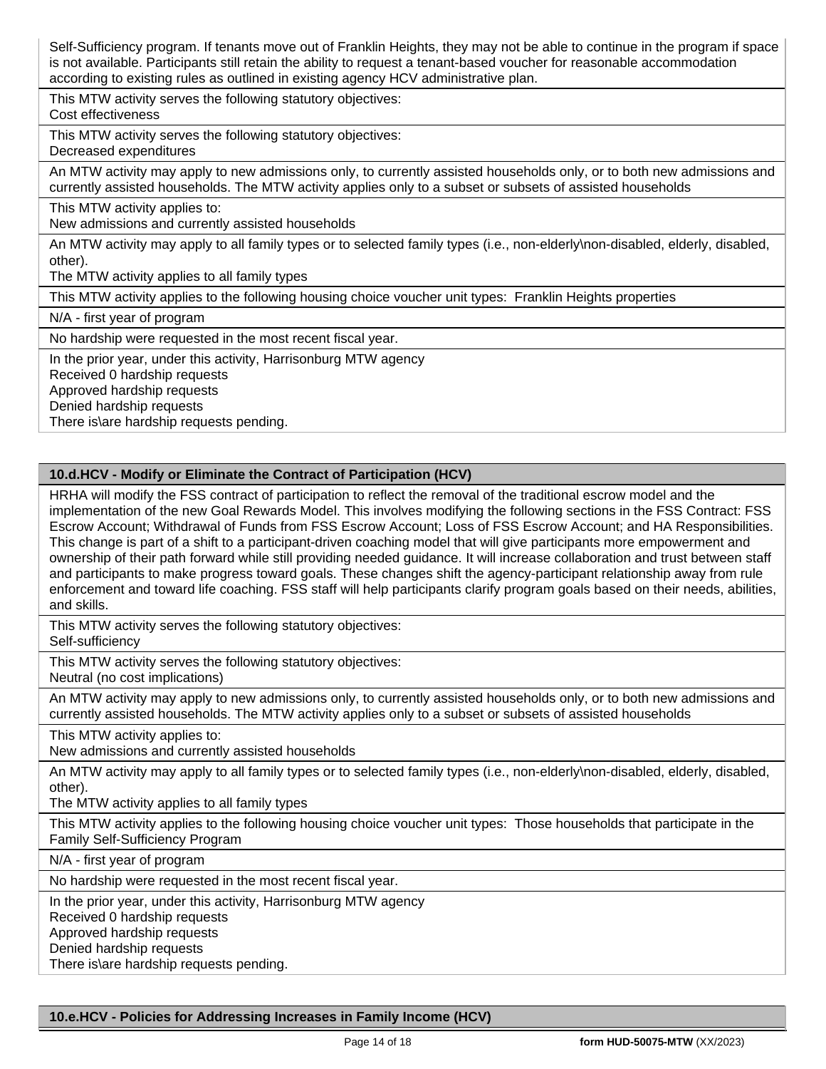Self-Sufficiency program. If tenants move out of Franklin Heights, they may not be able to continue in the program if space is not available. Participants still retain the ability to request a tenant-based voucher for reasonable accommodation according to existing rules as outlined in existing agency HCV administrative plan.

This MTW activity serves the following statutory objectives:

Cost effectiveness

This MTW activity serves the following statutory objectives:

Decreased expenditures

An MTW activity may apply to new admissions only, to currently assisted households only, or to both new admissions and currently assisted households. The MTW activity applies only to a subset or subsets of assisted households

This MTW activity applies to:

New admissions and currently assisted households

An MTW activity may apply to all family types or to selected family types (i.e., non-elderly\non-disabled, elderly, disabled, other).

The MTW activity applies to all family types

This MTW activity applies to the following housing choice voucher unit types: Franklin Heights properties

N/A - first year of program

No hardship were requested in the most recent fiscal year.

In the prior year, under this activity, Harrisonburg MTW agency

Received 0 hardship requests

Approved hardship requests

Denied hardship requests

There is\are hardship requests pending.

# **10.d.HCV - Modify or Eliminate the Contract of Participation (HCV)**

HRHA will modify the FSS contract of participation to reflect the removal of the traditional escrow model and the implementation of the new Goal Rewards Model. This involves modifying the following sections in the FSS Contract: FSS Escrow Account; Withdrawal of Funds from FSS Escrow Account; Loss of FSS Escrow Account; and HA Responsibilities. This change is part of a shift to a participant-driven coaching model that will give participants more empowerment and ownership of their path forward while still providing needed guidance. It will increase collaboration and trust between staff and participants to make progress toward goals. These changes shift the agency-participant relationship away from rule enforcement and toward life coaching. FSS staff will help participants clarify program goals based on their needs, abilities, and skills.

This MTW activity serves the following statutory objectives:

Self-sufficiency

This MTW activity serves the following statutory objectives:

Neutral (no cost implications)

An MTW activity may apply to new admissions only, to currently assisted households only, or to both new admissions and currently assisted households. The MTW activity applies only to a subset or subsets of assisted households

This MTW activity applies to:

New admissions and currently assisted households

An MTW activity may apply to all family types or to selected family types (i.e., non-elderly\non-disabled, elderly, disabled, other).

The MTW activity applies to all family types

This MTW activity applies to the following housing choice voucher unit types: Those households that participate in the Family Self-Sufficiency Program

N/A - first year of program

No hardship were requested in the most recent fiscal year.

In the prior year, under this activity, Harrisonburg MTW agency

Received 0 hardship requests

Approved hardship requests

Denied hardship requests

There is\are hardship requests pending.

**10.e.HCV - Policies for Addressing Increases in Family Income (HCV)**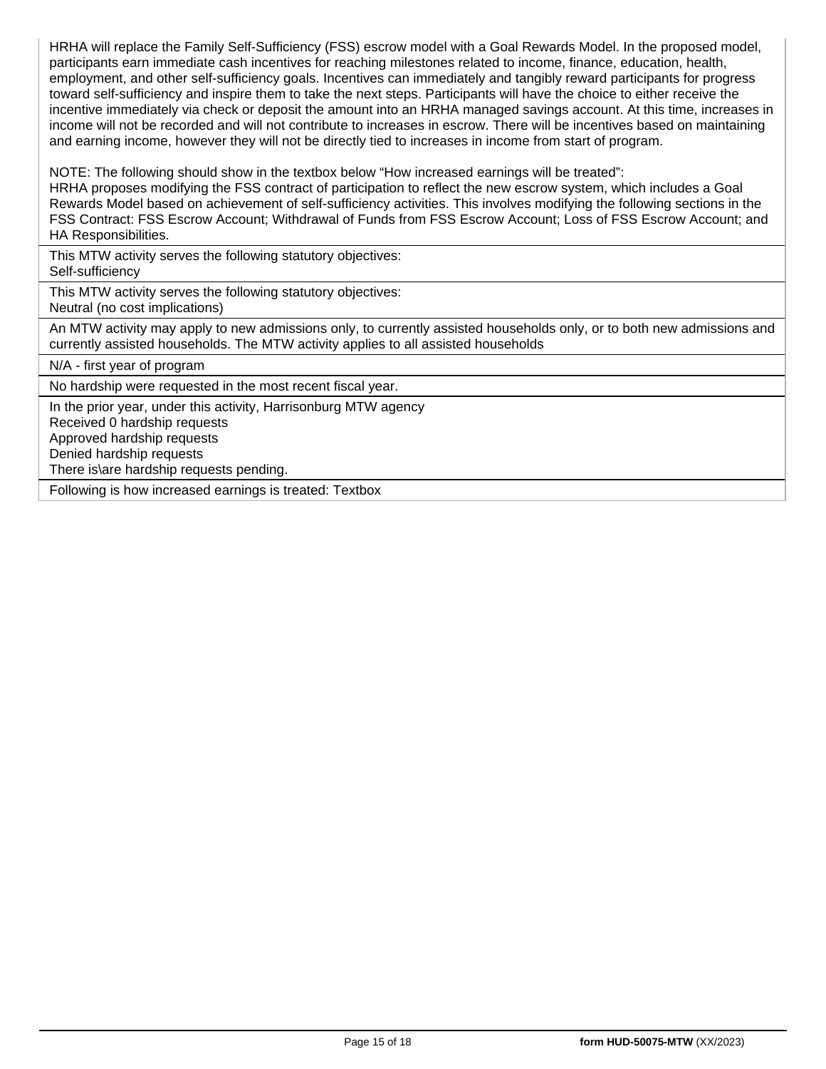HRHA will replace the Family Self-Sufficiency (FSS) escrow model with a Goal Rewards Model. In the proposed model, participants earn immediate cash incentives for reaching milestones related to income, finance, education, health, employment, and other self-sufficiency goals. Incentives can immediately and tangibly reward participants for progress toward self-sufficiency and inspire them to take the next steps. Participants will have the choice to either receive the incentive immediately via check or deposit the amount into an HRHA managed savings account. At this time, increases in income will not be recorded and will not contribute to increases in escrow. There will be incentives based on maintaining and earning income, however they will not be directly tied to increases in income from start of program.

NOTE: The following should show in the textbox below "How increased earnings will be treated":

HRHA proposes modifying the FSS contract of participation to reflect the new escrow system, which includes a Goal Rewards Model based on achievement of self-sufficiency activities. This involves modifying the following sections in the FSS Contract: FSS Escrow Account; Withdrawal of Funds from FSS Escrow Account; Loss of FSS Escrow Account; and HA Responsibilities.

This MTW activity serves the following statutory objectives: Self-sufficiency

This MTW activity serves the following statutory objectives:

Neutral (no cost implications)

An MTW activity may apply to new admissions only, to currently assisted households only, or to both new admissions and currently assisted households. The MTW activity applies to all assisted households

N/A - first year of program

No hardship were requested in the most recent fiscal year.

In the prior year, under this activity, Harrisonburg MTW agency

Received 0 hardship requests

Approved hardship requests

Denied hardship requests

There is\are hardship requests pending.

Following is how increased earnings is treated: Textbox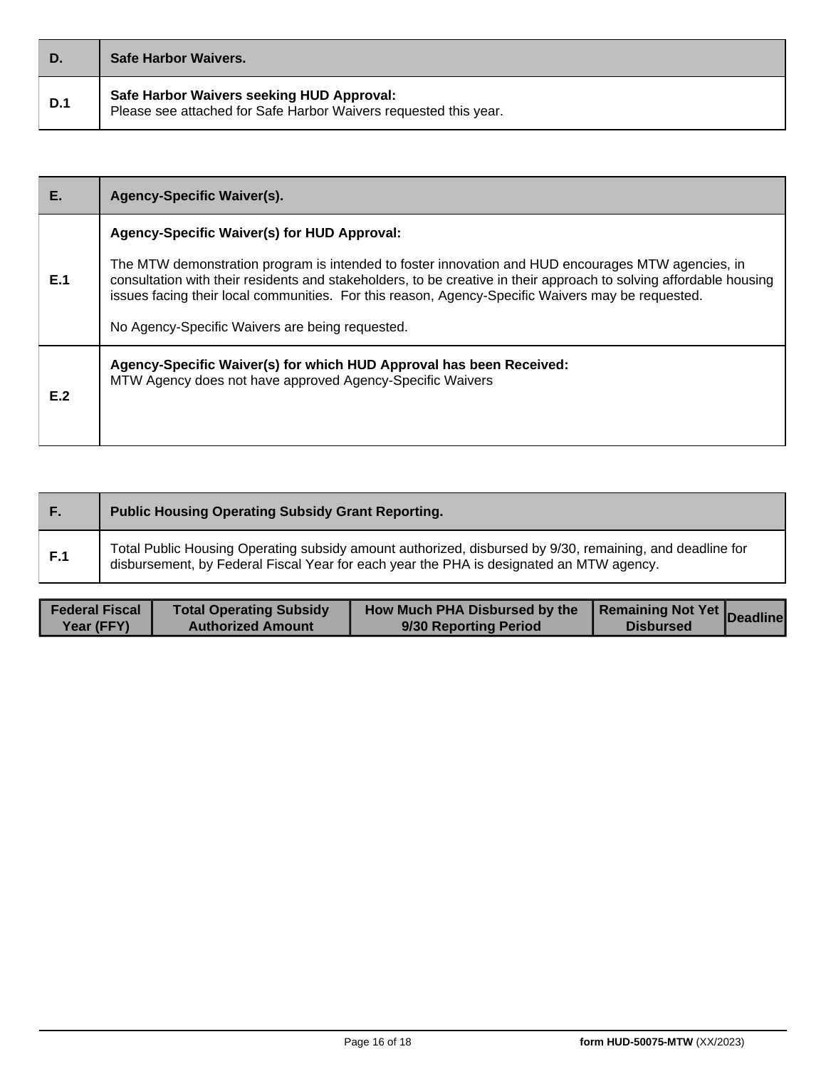| D.         | <b>Safe Harbor Waivers.</b>                                                                                   |
|------------|---------------------------------------------------------------------------------------------------------------|
| <b>D.1</b> | Safe Harbor Waivers seeking HUD Approval:<br>Please see attached for Safe Harbor Waivers requested this year. |

| Е.  | <b>Agency-Specific Waiver(s).</b>                                                                                                                                                                                                                                                                                                                                                                                               |
|-----|---------------------------------------------------------------------------------------------------------------------------------------------------------------------------------------------------------------------------------------------------------------------------------------------------------------------------------------------------------------------------------------------------------------------------------|
| E.1 | Agency-Specific Waiver(s) for HUD Approval:<br>The MTW demonstration program is intended to foster innovation and HUD encourages MTW agencies, in<br>consultation with their residents and stakeholders, to be creative in their approach to solving affordable housing<br>issues facing their local communities. For this reason, Agency-Specific Waivers may be requested.<br>No Agency-Specific Waivers are being requested. |
| E.2 | Agency-Specific Waiver(s) for which HUD Approval has been Received:<br>MTW Agency does not have approved Agency-Specific Waivers                                                                                                                                                                                                                                                                                                |

| . H. | <b>Public Housing Operating Subsidy Grant Reporting.</b>                                                                                                                                            |
|------|-----------------------------------------------------------------------------------------------------------------------------------------------------------------------------------------------------|
| F.1  | Total Public Housing Operating subsidy amount authorized, disbursed by 9/30, remaining, and deadline for<br>disbursement, by Federal Fiscal Year for each year the PHA is designated an MTW agency. |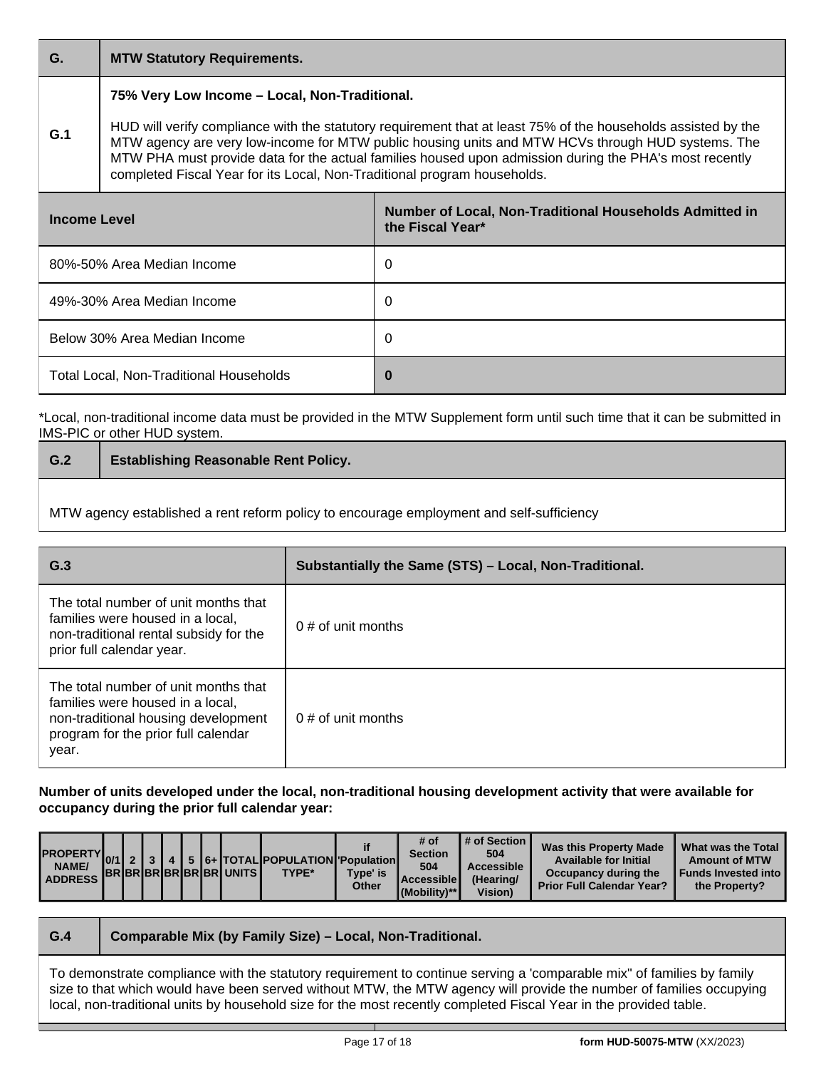## **G. MTW Statutory Requirements.**

## **75% Very Low Income – Local, Non-Traditional.**

**G.1** HUD will verify compliance with the statutory requirement that at least 75% of the households assisted by the MTW agency are very low-income for MTW public housing units and MTW HCVs through HUD systems. The MTW PHA must provide data for the actual families housed upon admission during the PHA's most recently completed Fiscal Year for its Local, Non-Traditional program households.

| Income Level                            | Number of Local, Non-Traditional Households Admitted in<br>the Fiscal Year* |
|-----------------------------------------|-----------------------------------------------------------------------------|
| 80%-50% Area Median Income              | 0                                                                           |
| 49%-30% Area Median Income              | 0                                                                           |
| Below 30% Area Median Income            | 0                                                                           |
| Total Local, Non-Traditional Households | 0                                                                           |

\*Local, non-traditional income data must be provided in the MTW Supplement form until such time that it can be submitted in IMS-PIC or other HUD system.

| $\mid$ G.2 | <b>Establishing Reasonable Rent Policy.</b> |
|------------|---------------------------------------------|
|            |                                             |

MTW agency established a rent reform policy to encourage employment and self-sufficiency

| G.3                                                                                                                                                             | Substantially the Same (STS) - Local, Non-Traditional. |
|-----------------------------------------------------------------------------------------------------------------------------------------------------------------|--------------------------------------------------------|
| The total number of unit months that<br>families were housed in a local,<br>non-traditional rental subsidy for the<br>prior full calendar year.                 | $0 \#$ of unit months                                  |
| The total number of unit months that<br>families were housed in a local,<br>non-traditional housing development<br>program for the prior full calendar<br>year. | $0 \#$ of unit months                                  |

**Number of units developed under the local, non-traditional housing development activity that were available for occupancy during the prior full calendar year:**

| NAME/<br><b>ADDRESS</b> |  |  |  |  |  | <b>IBRIBRIBRIBRIBRIUNITS</b> | $\left \frac{\text{PROPERTIES}}{0/1}\right _2\left _3\right _4\left _5\right _{6+}\left \text{TOTAL} \right $ POPULATION Population<br>TYPE* | Type' is<br>Other | # $of$<br><b>Section</b><br>504<br>l Accessible l<br>(Mobility)** | 504<br>Accessible<br>(Hearing/<br><b>Vision</b> ) | Was this Property Made<br><b>Available for Initial</b><br>Occupancy during the<br><b>Prior Full Calendar Year?</b> | What was the Total<br><b>Amount of MTW</b><br><b>Funds Invested into I</b><br>the Property? |
|-------------------------|--|--|--|--|--|------------------------------|----------------------------------------------------------------------------------------------------------------------------------------------|-------------------|-------------------------------------------------------------------|---------------------------------------------------|--------------------------------------------------------------------------------------------------------------------|---------------------------------------------------------------------------------------------|
|-------------------------|--|--|--|--|--|------------------------------|----------------------------------------------------------------------------------------------------------------------------------------------|-------------------|-------------------------------------------------------------------|---------------------------------------------------|--------------------------------------------------------------------------------------------------------------------|---------------------------------------------------------------------------------------------|

| G.4                                                                                                                                                                                                                                          | Comparable Mix (by Family Size) - Local, Non-Traditional. |  |  |  |  |
|----------------------------------------------------------------------------------------------------------------------------------------------------------------------------------------------------------------------------------------------|-----------------------------------------------------------|--|--|--|--|
| To demonstrate compliance with the statutory requirement to continue serving a 'comparable mix" of families by family<br>size to that which would have been served without MTW, the MTW agency will provide the number of families occupying |                                                           |  |  |  |  |
| local, non-traditional units by household size for the most recently completed Fiscal Year in the provided table.                                                                                                                            |                                                           |  |  |  |  |